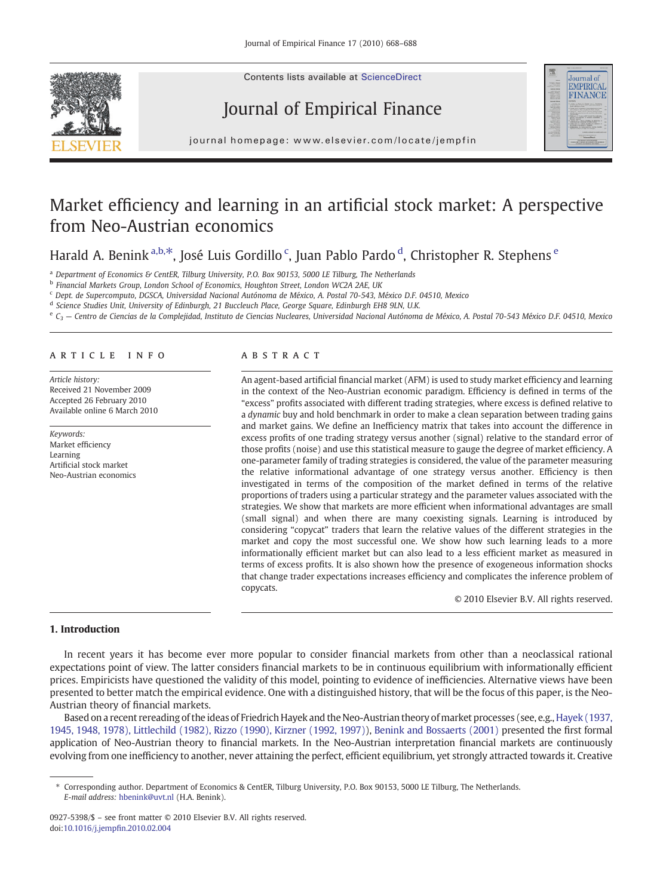

Contents lists available at ScienceDirect

# Journal of Empirical Finance



j o u r n a l h om e p a g e  $\alpha$  ev i e r. c om  $\alpha$  t en  $\alpha$  i n  $\alpha$  i n  $\alpha$  t em p f i n  $\alpha$ 

## Market efficiency and learning in an artificial stock market: A perspective from Neo-Austrian economics

Harald A. Benink <sup>a,b, $*$ </sup>, José Luis Gordillo <sup>c</sup>, Juan Pablo Pardo <sup>d</sup>, Christopher R. Stephens <sup>e</sup>

<sup>a</sup> Department of Economics & CentER, Tilburg University, P.O. Box 90153, 5000 LE Tilburg, The Netherlands

<sup>b</sup> Financial Markets Group, London School of Economics, Houghton Street, London WC2A 2AE, UK

<sup>c</sup> Dept. de Supercomputo, DGSCA, Universidad Nacional Autónoma de México, A. Postal 70-543, México D.F. 04510, Mexico

d Science Studies Unit, University of Edinburgh, 21 Buccleuch Place, George Square, Edinburgh EH8 9LN, U.K.

 $e_{G_2}$  — Centro de Ciencias de la Complejidad, Instituto de Ciencias Nucleares, Universidad Nacional Autónoma de México, A. Postal 70-543 México D.F. 04510, Mexico

## article info abstract

Article history: Received 21 November 2009 Accepted 26 February 2010 Available online 6 March 2010

Keywords: Market efficiency Learning Artificial stock market Neo-Austrian economics

An agent-based artificial financial market (AFM) is used to study market efficiency and learning in the context of the Neo-Austrian economic paradigm. Efficiency is defined in terms of the "excess" profits associated with different trading strategies, where excess is defined relative to a dynamic buy and hold benchmark in order to make a clean separation between trading gains and market gains. We define an Inefficiency matrix that takes into account the difference in excess profits of one trading strategy versus another (signal) relative to the standard error of those profits (noise) and use this statistical measure to gauge the degree of market efficiency. A one-parameter family of trading strategies is considered, the value of the parameter measuring the relative informational advantage of one strategy versus another. Efficiency is then investigated in terms of the composition of the market defined in terms of the relative proportions of traders using a particular strategy and the parameter values associated with the strategies. We show that markets are more efficient when informational advantages are small (small signal) and when there are many coexisting signals. Learning is introduced by considering "copycat" traders that learn the relative values of the different strategies in the market and copy the most successful one. We show how such learning leads to a more informationally efficient market but can also lead to a less efficient market as measured in terms of excess profits. It is also shown how the presence of exogeneous information shocks that change trader expectations increases efficiency and complicates the inference problem of copycats.

© 2010 Elsevier B.V. All rights reserved.

## 1. Introduction

In recent years it has become ever more popular to consider financial markets from other than a neoclassical rational expectations point of view. The latter considers financial markets to be in continuous equilibrium with informationally efficient prices. Empiricists have questioned the validity of this model, pointing to evidence of inefficiencies. Alternative views have been presented to better match the empirical evidence. One with a distinguished history, that will be the focus of this paper, is the Neo-Austrian theory of financial markets.

Based on a recent rereading of the ideas of Friedrich Hayek and the Neo-Austrian theory of market processes (see, e.g., [Hayek \(1937,](#page--1-0) [1945, 1948, 1978\), Littlechild \(1982\), Rizzo \(1990\), Kirzner \(1992, 1997\)\)](#page--1-0), [Benink and Bossaerts \(2001\)](#page--1-0) presented the first formal application of Neo-Austrian theory to financial markets. In the Neo-Austrian interpretation financial markets are continuously evolving from one inefficiency to another, never attaining the perfect, efficient equilibrium, yet strongly attracted towards it. Creative

⁎ Corresponding author. Department of Economics & CentER, Tilburg University, P.O. Box 90153, 5000 LE Tilburg, The Netherlands. E-mail address: [hbenink@uvt.nl](mailto:hbenink@uvt.nl) (H.A. Benink).

<sup>0927-5398/\$</sup> – see front matter © 2010 Elsevier B.V. All rights reserved. doi:[10.1016/j.jemp](http://dx.doi.org/10.1016/j.jempfin.2010.02.004)fin.2010.02.004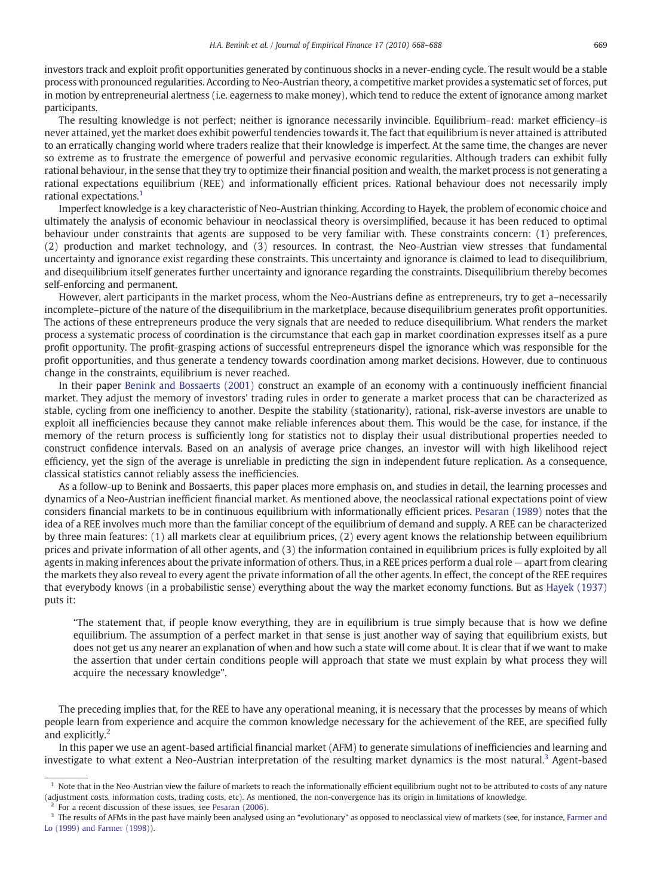investors track and exploit profit opportunities generated by continuous shocks in a never-ending cycle. The result would be a stable process with pronounced regularities. According to Neo-Austrian theory, a competitive market provides a systematic set of forces, put in motion by entrepreneurial alertness (i.e. eagerness to make money), which tend to reduce the extent of ignorance among market participants.

The resulting knowledge is not perfect; neither is ignorance necessarily invincible. Equilibrium–read: market efficiency–is never attained, yet the market does exhibit powerful tendencies towards it. The fact that equilibrium is never attained is attributed to an erratically changing world where traders realize that their knowledge is imperfect. At the same time, the changes are never so extreme as to frustrate the emergence of powerful and pervasive economic regularities. Although traders can exhibit fully rational behaviour, in the sense that they try to optimize their financial position and wealth, the market process is not generating a rational expectations equilibrium (REE) and informationally efficient prices. Rational behaviour does not necessarily imply rational expectations.<sup>1</sup>

Imperfect knowledge is a key characteristic of Neo-Austrian thinking. According to Hayek, the problem of economic choice and ultimately the analysis of economic behaviour in neoclassical theory is oversimplified, because it has been reduced to optimal behaviour under constraints that agents are supposed to be very familiar with. These constraints concern: (1) preferences, (2) production and market technology, and (3) resources. In contrast, the Neo-Austrian view stresses that fundamental uncertainty and ignorance exist regarding these constraints. This uncertainty and ignorance is claimed to lead to disequilibrium, and disequilibrium itself generates further uncertainty and ignorance regarding the constraints. Disequilibrium thereby becomes self-enforcing and permanent.

However, alert participants in the market process, whom the Neo-Austrians define as entrepreneurs, try to get a–necessarily incomplete–picture of the nature of the disequilibrium in the marketplace, because disequilibrium generates profit opportunities. The actions of these entrepreneurs produce the very signals that are needed to reduce disequilibrium. What renders the market process a systematic process of coordination is the circumstance that each gap in market coordination expresses itself as a pure profit opportunity. The profit-grasping actions of successful entrepreneurs dispel the ignorance which was responsible for the profit opportunities, and thus generate a tendency towards coordination among market decisions. However, due to continuous change in the constraints, equilibrium is never reached.

In their paper [Benink and Bossaerts \(2001\)](#page--1-0) construct an example of an economy with a continuously inefficient financial market. They adjust the memory of investors' trading rules in order to generate a market process that can be characterized as stable, cycling from one inefficiency to another. Despite the stability (stationarity), rational, risk-averse investors are unable to exploit all inefficiencies because they cannot make reliable inferences about them. This would be the case, for instance, if the memory of the return process is sufficiently long for statistics not to display their usual distributional properties needed to construct confidence intervals. Based on an analysis of average price changes, an investor will with high likelihood reject efficiency, yet the sign of the average is unreliable in predicting the sign in independent future replication. As a consequence, classical statistics cannot reliably assess the inefficiencies.

As a follow-up to Benink and Bossaerts, this paper places more emphasis on, and studies in detail, the learning processes and dynamics of a Neo-Austrian inefficient financial market. As mentioned above, the neoclassical rational expectations point of view considers financial markets to be in continuous equilibrium with informationally efficient prices. [Pesaran \(1989\)](#page--1-0) notes that the idea of a REE involves much more than the familiar concept of the equilibrium of demand and supply. A REE can be characterized by three main features: (1) all markets clear at equilibrium prices, (2) every agent knows the relationship between equilibrium prices and private information of all other agents, and (3) the information contained in equilibrium prices is fully exploited by all agents in making inferences about the private information of others. Thus, in a REE prices perform a dual role — apart from clearing the markets they also reveal to every agent the private information of all the other agents. In effect, the concept of the REE requires that everybody knows (in a probabilistic sense) everything about the way the market economy functions. But as [Hayek \(1937\)](#page--1-0) puts it:

"The statement that, if people know everything, they are in equilibrium is true simply because that is how we define equilibrium. The assumption of a perfect market in that sense is just another way of saying that equilibrium exists, but does not get us any nearer an explanation of when and how such a state will come about. It is clear that if we want to make the assertion that under certain conditions people will approach that state we must explain by what process they will acquire the necessary knowledge".

The preceding implies that, for the REE to have any operational meaning, it is necessary that the processes by means of which people learn from experience and acquire the common knowledge necessary for the achievement of the REE, are specified fully and explicitly.<sup>2</sup>

In this paper we use an agent-based artificial financial market (AFM) to generate simulations of inefficiencies and learning and investigate to what extent a Neo-Austrian interpretation of the resulting market dynamics is the most natural.<sup>3</sup> Agent-based

<sup>2</sup> For a recent discussion of these issues, see [Pesaran \(2006\).](#page--1-0)

 $1$  Note that in the Neo-Austrian view the failure of markets to reach the informationally efficient equilibrium ought not to be attributed to costs of any nature (adjustment costs, information costs, trading costs, etc). As mentioned, the non-convergence has its origin in limitations of knowledge.

 $3$  The results of AFMs in the past have mainly been analysed using an "evolutionary" as opposed to neoclassical view of markets (see, for instance, [Farmer and](#page--1-0) [Lo \(1999\) and Farmer \(1998\)](#page--1-0)).